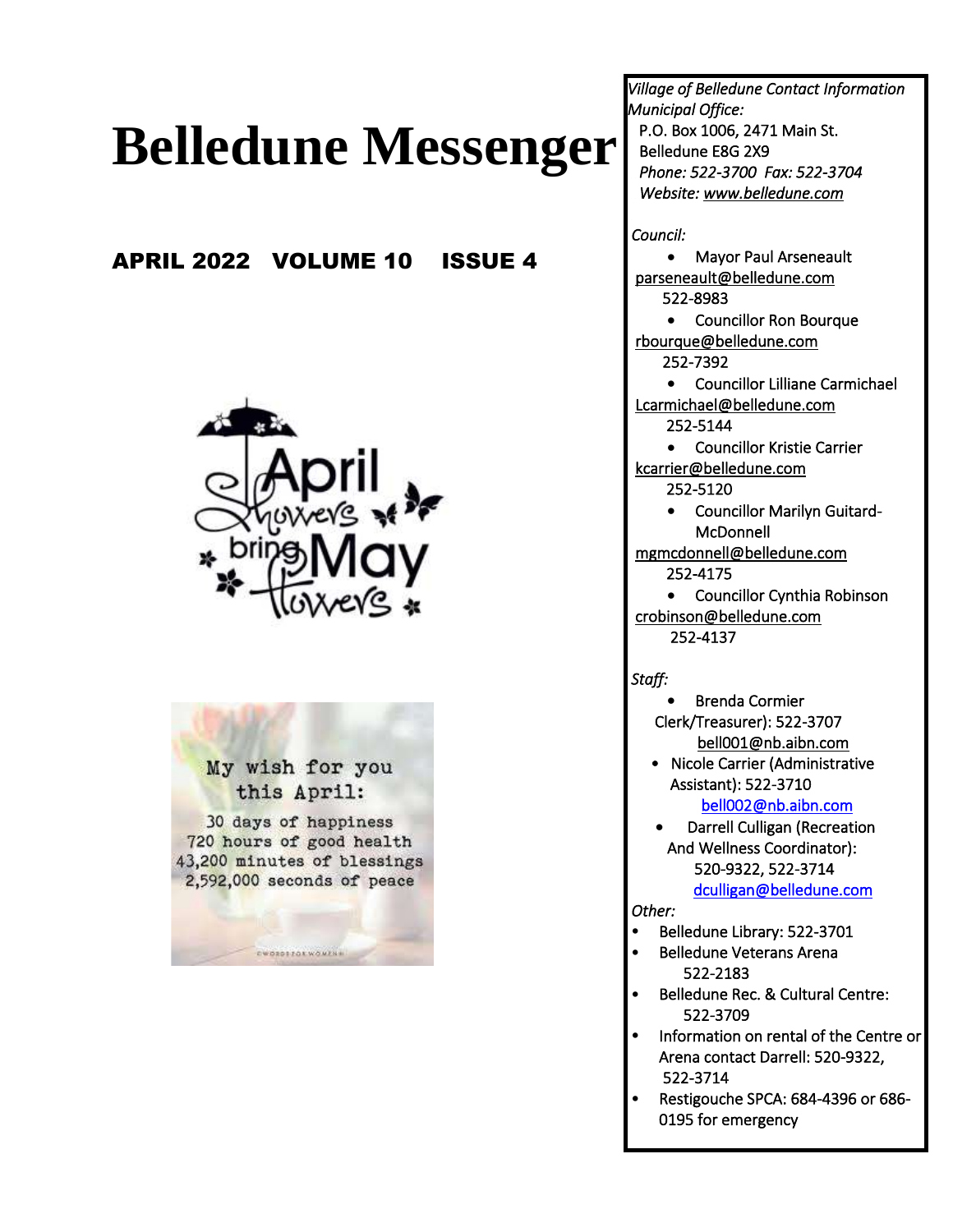# **Belledune Messenger**

## APRIL 2022 VOLUME 10 ISSUE 4



My wish for you this April:

30 days of happiness 720 hours of good health 43,200 minutes of blessings 2,592,000 seconds of peace

**EWORDSZOXWOWENS** 

*Village of Belledune Contact Information Municipal Office:*  P.O. Box 1006, 2471 Main St. Belledune E8G 2X9  *Phone: 522-3700 Fax: 522-3704 Website: [www.belledune.com](http://www.belledune.com/)* 

 *Council:* 

• Mayor Paul Arseneault [parseneault@belledune.com](mailto:parseneault@belledune.com)  522-8983

• Councillor Ron Bourque [rbourque@belledune.com](mailto:rbourque@belledune.com)  252-7392

• Councillor Lilliane Carmichael [Lcarmichael@belledune.com](mailto:Lcarmichael@belledune.com)  252-5144

- Councillor Kristie Carrier [kcarrier@belledune.com](mailto:kcarrier@belledune.com) 
	- 252-5120
	- Councillor Marilyn Guitard-**McDonnell**
- [mgmcdonnell@belledune.com](mailto:mgmcdonnell@belledune.com)  252-4175
- Councillor Cynthia Robinson [crobinson@belledune.com](mailto:crobinson@belledune.com)  252-4137

 *Staff:* 

- Brenda Cormier Clerk/Treasurer): 522-3707 [bell001@nb.aibn.com](mailto:bell001@nb.aibn.com)
- Nicole Carrier (Administrative Assistant): 522-3710

[bell002@nb.aibn.com](mailto:bell002@nb.aibn.com) 

• Darrell Culligan (Recreation And Wellness Coordinator): 520-9322, 522-3714 [dculligan@belledune.com](mailto:dculligan@belledune.com) 

*Other:* 

 $\overline{\phantom{a}}$ 

- Belledune Library: 522-3701
- Belledune Veterans Arena 522-2183
- Belledune Rec. & Cultural Centre: 522-3709
- Information on rental of the Centre or Arena contact Darrell: 520-9322, 522-3714
- Restigouche SPCA: 684-4396 or 686- 0195 for emergency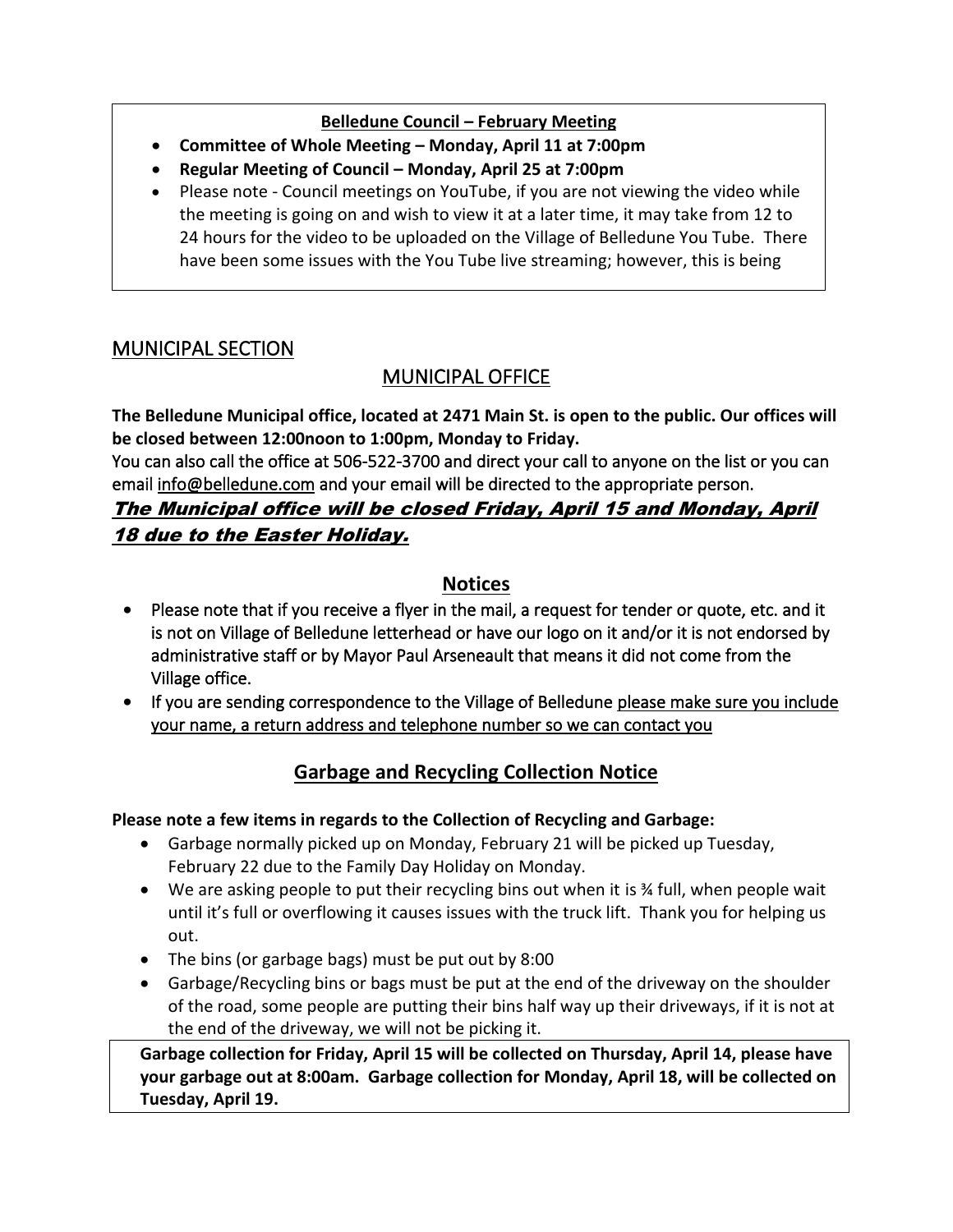#### **Belledune Council – February Meeting**

- **Committee of Whole Meeting – Monday, April 11 at 7:00pm**
- **Regular Meeting of Council – Monday, April 25 at 7:00pm**
- Please note Council meetings on YouTube, if you are not viewing the video while the meeting is going on and wish to view it at a later time, it may take from 12 to 24 hours for the video to be uploaded on the Village of Belledune You Tube. There have been some issues with the You Tube live streaming; however, this is being

## MUNICIPAL SECTION

## MUNICIPAL OFFICE

**The Belledune Municipal office, located at 2471 Main St. is open to the public. Our offices will be closed between 12:00noon to 1:00pm, Monday to Friday.** 

You can also call the office at 506-522-3700 and direct your call to anyone on the list or you can email [info@belledune.com](mailto:info@belledune.com) and your email will be directed to the appropriate person.

## The Municipal office will be closed Friday, April 15 and Monday, April 18 due to the Easter Holiday.

## **Notices**

- Please note that if you receive a flyer in the mail, a request for tender or quote, etc. and it is not on Village of Belledune letterhead or have our logo on it and/or it is not endorsed by administrative staff or by Mayor Paul Arseneault that means it did not come from the Village office.
- If you are sending correspondence to the Village of Belledune please make sure you include your name, a return address and telephone number so we can contact you

## **Garbage and Recycling Collection Notice**

#### **Please note a few items in regards to the Collection of Recycling and Garbage:**

- Garbage normally picked up on Monday, February 21 will be picked up Tuesday, February 22 due to the Family Day Holiday on Monday.
- We are asking people to put their recycling bins out when it is % full, when people wait until it's full or overflowing it causes issues with the truck lift. Thank you for helping us out.
- The bins (or garbage bags) must be put out by 8:00
- Garbage/Recycling bins or bags must be put at the end of the driveway on the shoulder of the road, some people are putting their bins half way up their driveways, if it is not at the end of the driveway, we will not be picking it.

**Garbage collection for Friday, April 15 will be collected on Thursday, April 14, please have your garbage out at 8:00am. Garbage collection for Monday, April 18, will be collected on Tuesday, April 19.**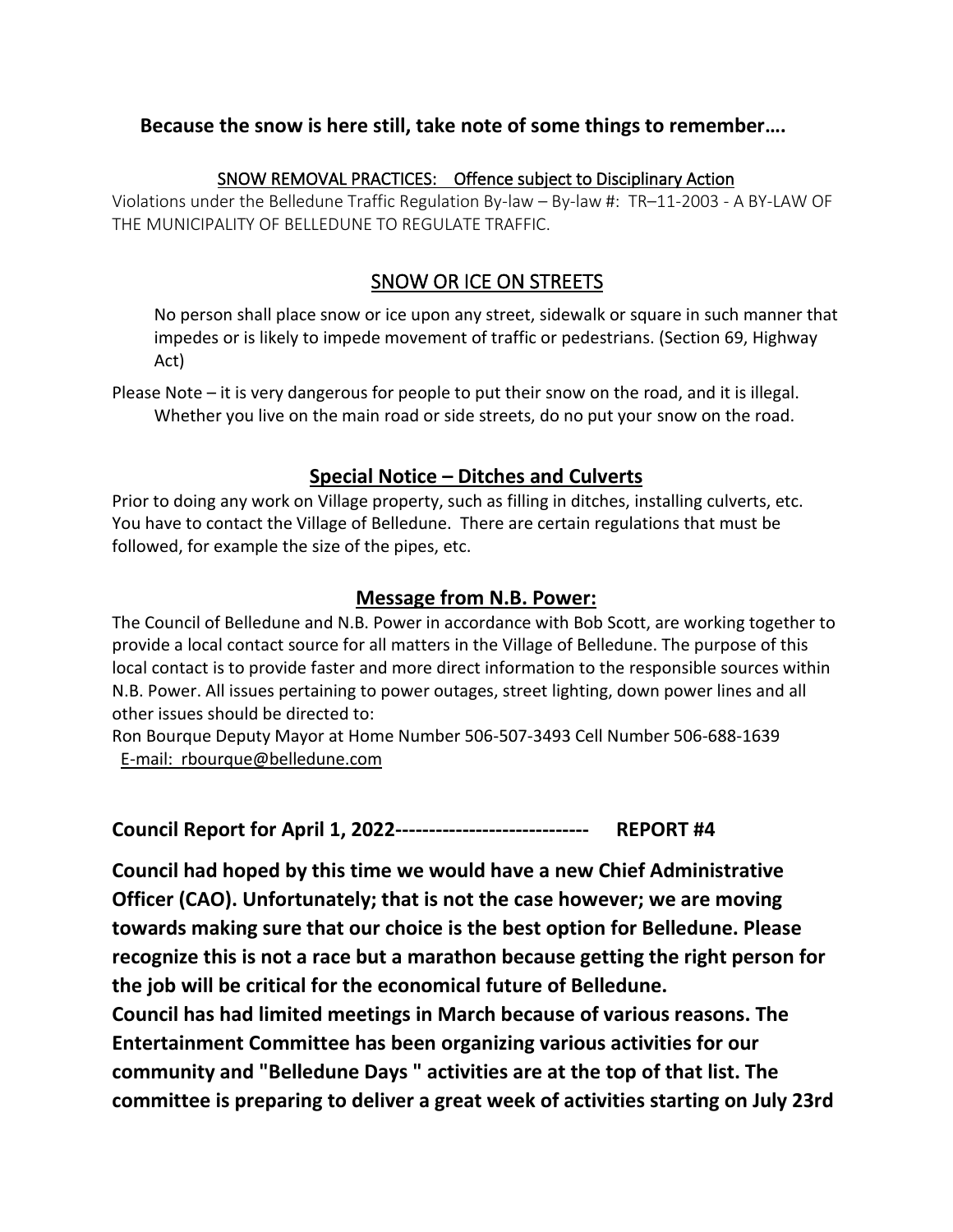#### **Because the snow is here still, take note of some things to remember….**

#### SNOW REMOVAL PRACTICES: Offence subject to Disciplinary Action

Violations under the Belledune Traffic Regulation By-law – By-law #: TR–11-2003 - A BY-LAW OF THE MUNICIPALITY OF BELLEDUNE TO REGULATE TRAFFIC.

## SNOW OR ICE ON STREETS

No person shall place snow or ice upon any street, sidewalk or square in such manner that impedes or is likely to impede movement of traffic or pedestrians. (Section 69, Highway Act)

Please Note – it is very dangerous for people to put their snow on the road, and it is illegal. Whether you live on the main road or side streets, do no put your snow on the road.

#### **Special Notice – Ditches and Culverts**

Prior to doing any work on Village property, such as filling in ditches, installing culverts, etc. You have to contact the Village of Belledune. There are certain regulations that must be followed, for example the size of the pipes, etc.

#### **Message from N.B. Power:**

The Council of Belledune and N.B. Power in accordance with Bob Scott, are working together to provide a local contact source for all matters in the Village of Belledune. The purpose of this local contact is to provide faster and more direct information to the responsible sources within N.B. Power. All issues pertaining to power outages, street lighting, down power lines and all other issues should be directed to:

Ron Bourque Deputy Mayor at Home Number 506-507-3493 Cell Number 506-688-1639 E-mail: [rbourque@belledune.com](mailto:rbourque@belledune.com)

**Council Report for April 1, 2022----------------------------- REPORT #4**

**Council had hoped by this time we would have a new Chief Administrative Officer (CAO). Unfortunately; that is not the case however; we are moving towards making sure that our choice is the best option for Belledune. Please recognize this is not a race but a marathon because getting the right person for the job will be critical for the economical future of Belledune.** 

**Council has had limited meetings in March because of various reasons. The Entertainment Committee has been organizing various activities for our community and "Belledune Days " activities are at the top of that list. The committee is preparing to deliver a great week of activities starting on July 23rd**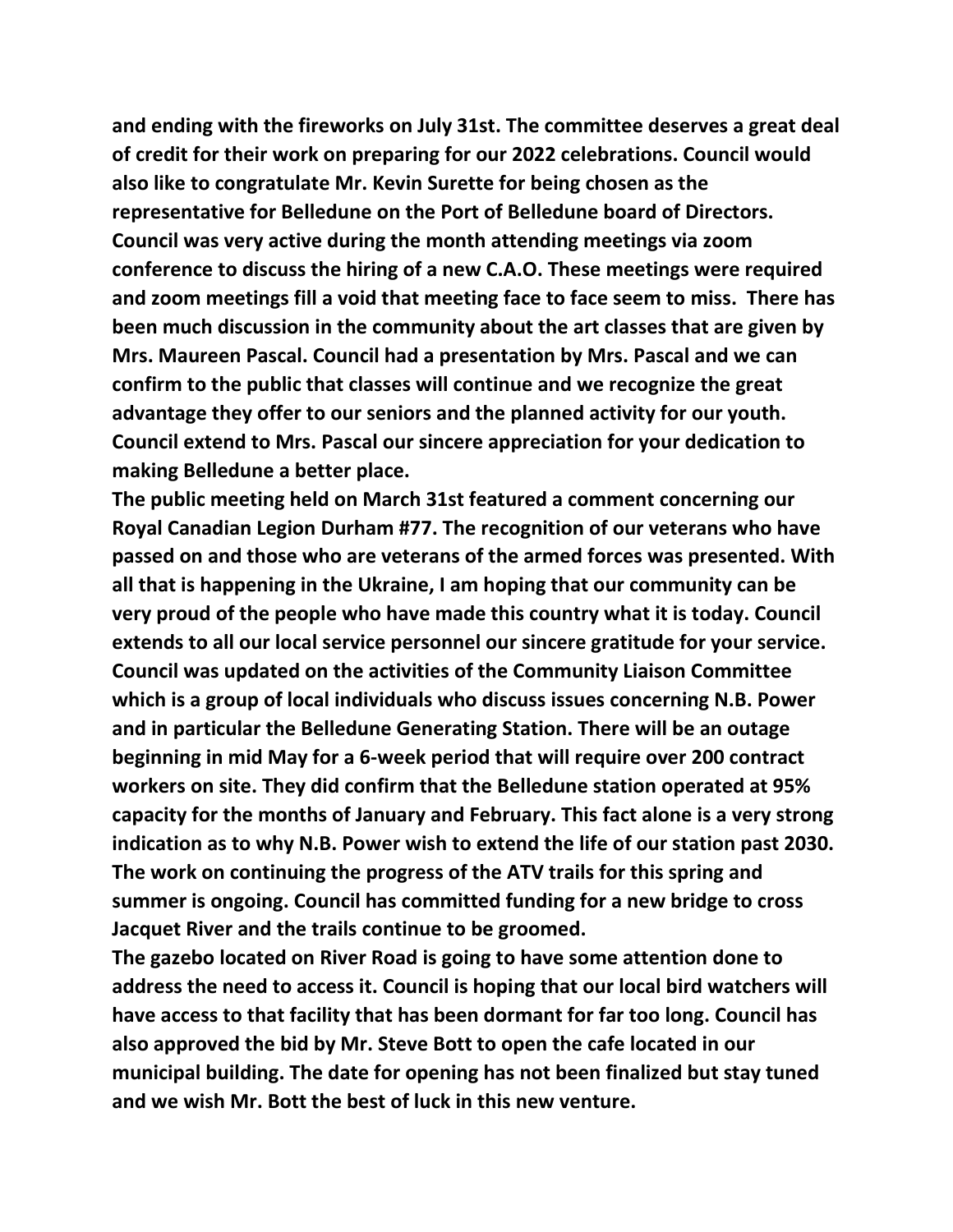**and ending with the fireworks on July 31st. The committee deserves a great deal of credit for their work on preparing for our 2022 celebrations. Council would also like to congratulate Mr. Kevin Surette for being chosen as the representative for Belledune on the Port of Belledune board of Directors. Council was very active during the month attending meetings via zoom conference to discuss the hiring of a new C.A.O. These meetings were required and zoom meetings fill a void that meeting face to face seem to miss. There has been much discussion in the community about the art classes that are given by Mrs. Maureen Pascal. Council had a presentation by Mrs. Pascal and we can confirm to the public that classes will continue and we recognize the great advantage they offer to our seniors and the planned activity for our youth. Council extend to Mrs. Pascal our sincere appreciation for your dedication to making Belledune a better place.** 

**The public meeting held on March 31st featured a comment concerning our Royal Canadian Legion Durham #77. The recognition of our veterans who have passed on and those who are veterans of the armed forces was presented. With all that is happening in the Ukraine, I am hoping that our community can be very proud of the people who have made this country what it is today. Council extends to all our local service personnel our sincere gratitude for your service. Council was updated on the activities of the Community Liaison Committee which is a group of local individuals who discuss issues concerning N.B. Power and in particular the Belledune Generating Station. There will be an outage beginning in mid May for a 6-week period that will require over 200 contract workers on site. They did confirm that the Belledune station operated at 95% capacity for the months of January and February. This fact alone is a very strong indication as to why N.B. Power wish to extend the life of our station past 2030. The work on continuing the progress of the ATV trails for this spring and summer is ongoing. Council has committed funding for a new bridge to cross Jacquet River and the trails continue to be groomed.** 

**The gazebo located on River Road is going to have some attention done to address the need to access it. Council is hoping that our local bird watchers will have access to that facility that has been dormant for far too long. Council has also approved the bid by Mr. Steve Bott to open the cafe located in our municipal building. The date for opening has not been finalized but stay tuned and we wish Mr. Bott the best of luck in this new venture.**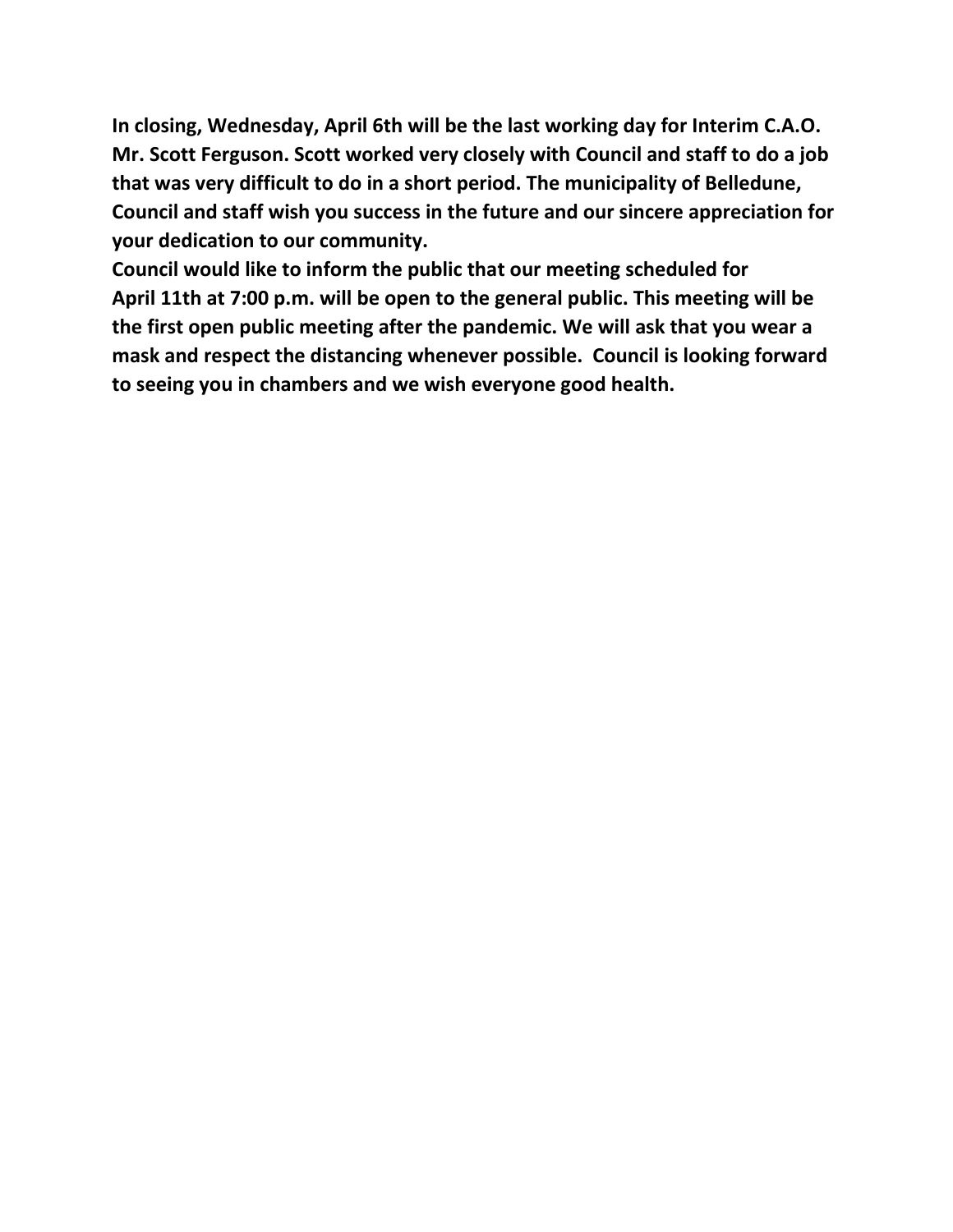**In closing, Wednesday, April 6th will be the last working day for Interim C.A.O. Mr. Scott Ferguson. Scott worked very closely with Council and staff to do a job that was very difficult to do in a short period. The municipality of Belledune, Council and staff wish you success in the future and our sincere appreciation for your dedication to our community.** 

**Council would like to inform the public that our meeting scheduled for April 11th at 7:00 p.m. will be open to the general public. This meeting will be the first open public meeting after the pandemic. We will ask that you wear a mask and respect the distancing whenever possible. Council is looking forward to seeing you in chambers and we wish everyone good health.**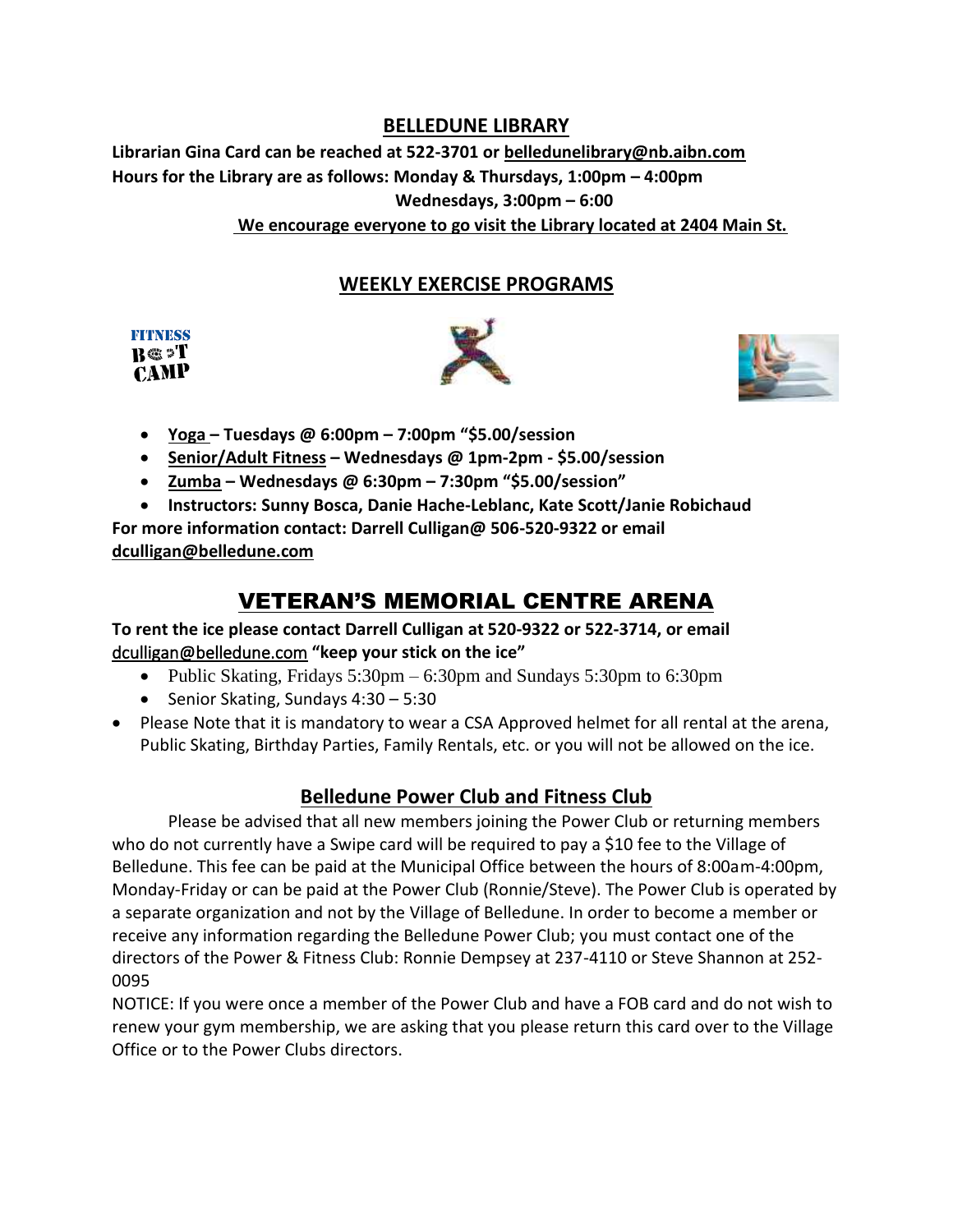#### **BELLEDUNE LIBRARY**

**Librarian Gina Card can be reached at 522-3701 o[r belledunelibrary@nb.aibn.com](mailto:belledunelibrary@nb.aibn.com)  Hours for the Library are as follows: Monday & Thursdays, 1:00pm – 4:00pm Wednesdays, 3:00pm – 6:00 We encourage everyone to go visit the Library located at 2404 Main St.** 

#### **WEEKLY EXERCISE PROGRAMS**

| <b>FITNESS</b> |  |
|----------------|--|
| $B \otimes T$  |  |
| <b>CAMP</b>    |  |



- **Yoga – Tuesdays @ 6:00pm – 7:00pm "\$5.00/session**
- **Senior/Adult Fitness – Wednesdays @ 1pm-2pm - \$5.00/session**
- **Zumba – Wednesdays @ 6:30pm – 7:30pm "\$5.00/session"**
- **Instructors: Sunny Bosca, Danie Hache-Leblanc, Kate Scott/Janie Robichaud**

**For more information contact: Darrell Culligan@ 506-520-9322 or email [dculligan@belledune.com](mailto:dculligan@belledune.com)**

# VETERAN'S MEMORIAL CENTRE ARENA

#### **To rent the ice please contact Darrell Culligan at 520-9322 or 522-3714, or email**  [dculligan@belledune.com](mailto:dculligan@belledune.com) **"keep your stick on the ice"**

- Public Skating, Fridays 5:30pm 6:30pm and Sundays 5:30pm to 6:30pm
- Senior Skating, Sundays 4:30 5:30
- Please Note that it is mandatory to wear a CSA Approved helmet for all rental at the arena, Public Skating, Birthday Parties, Family Rentals, etc. or you will not be allowed on the ice.

## **Belledune Power Club and Fitness Club**

Please be advised that all new members joining the Power Club or returning members who do not currently have a Swipe card will be required to pay a \$10 fee to the Village of Belledune. This fee can be paid at the Municipal Office between the hours of 8:00am-4:00pm, Monday-Friday or can be paid at the Power Club (Ronnie/Steve). The Power Club is operated by a separate organization and not by the Village of Belledune. In order to become a member or receive any information regarding the Belledune Power Club; you must contact one of the directors of the Power & Fitness Club: Ronnie Dempsey at 237-4110 or Steve Shannon at 252- 0095

NOTICE: If you were once a member of the Power Club and have a FOB card and do not wish to renew your gym membership, we are asking that you please return this card over to the Village Office or to the Power Clubs directors.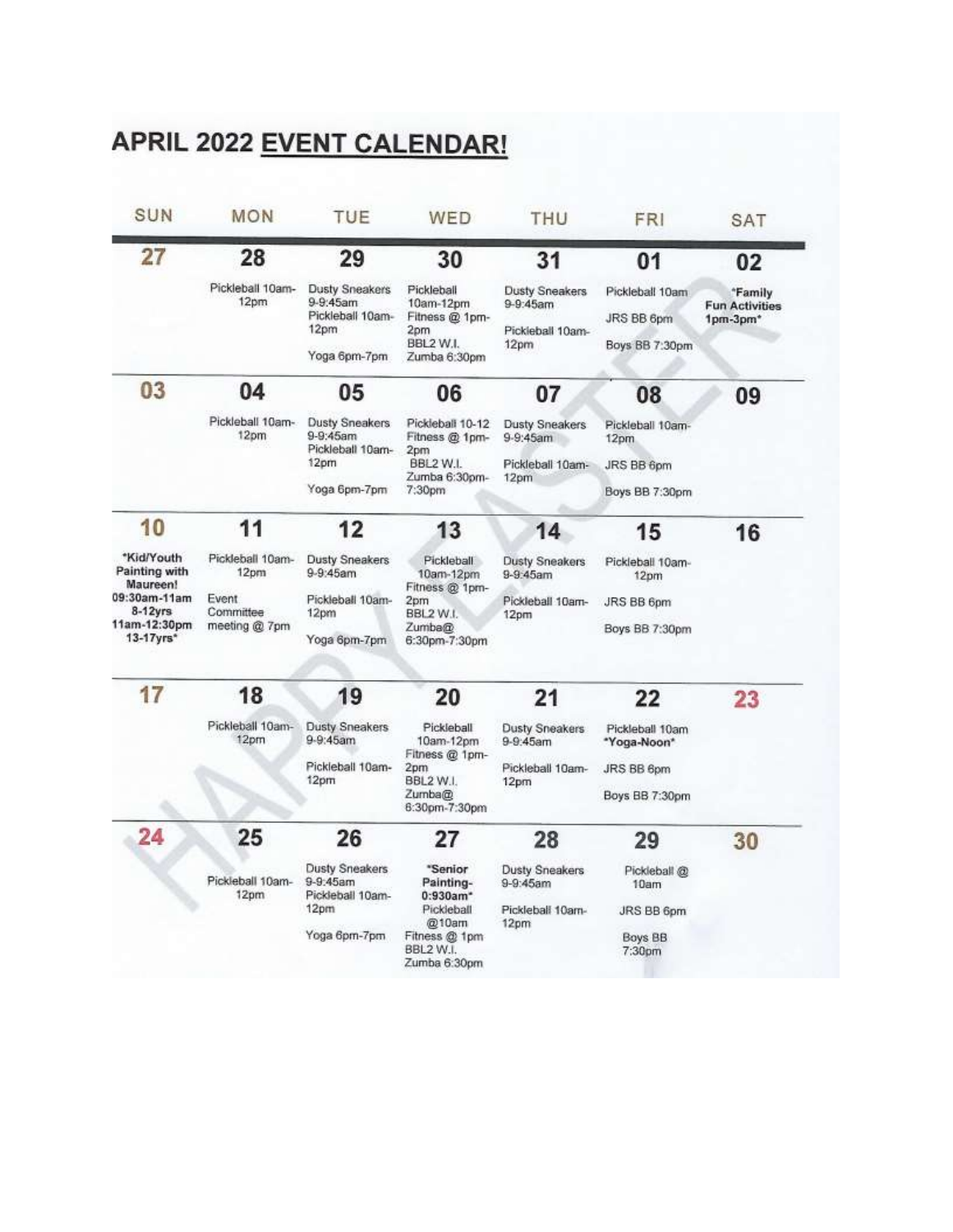# APRIL 2022 EVENT CALENDAR!

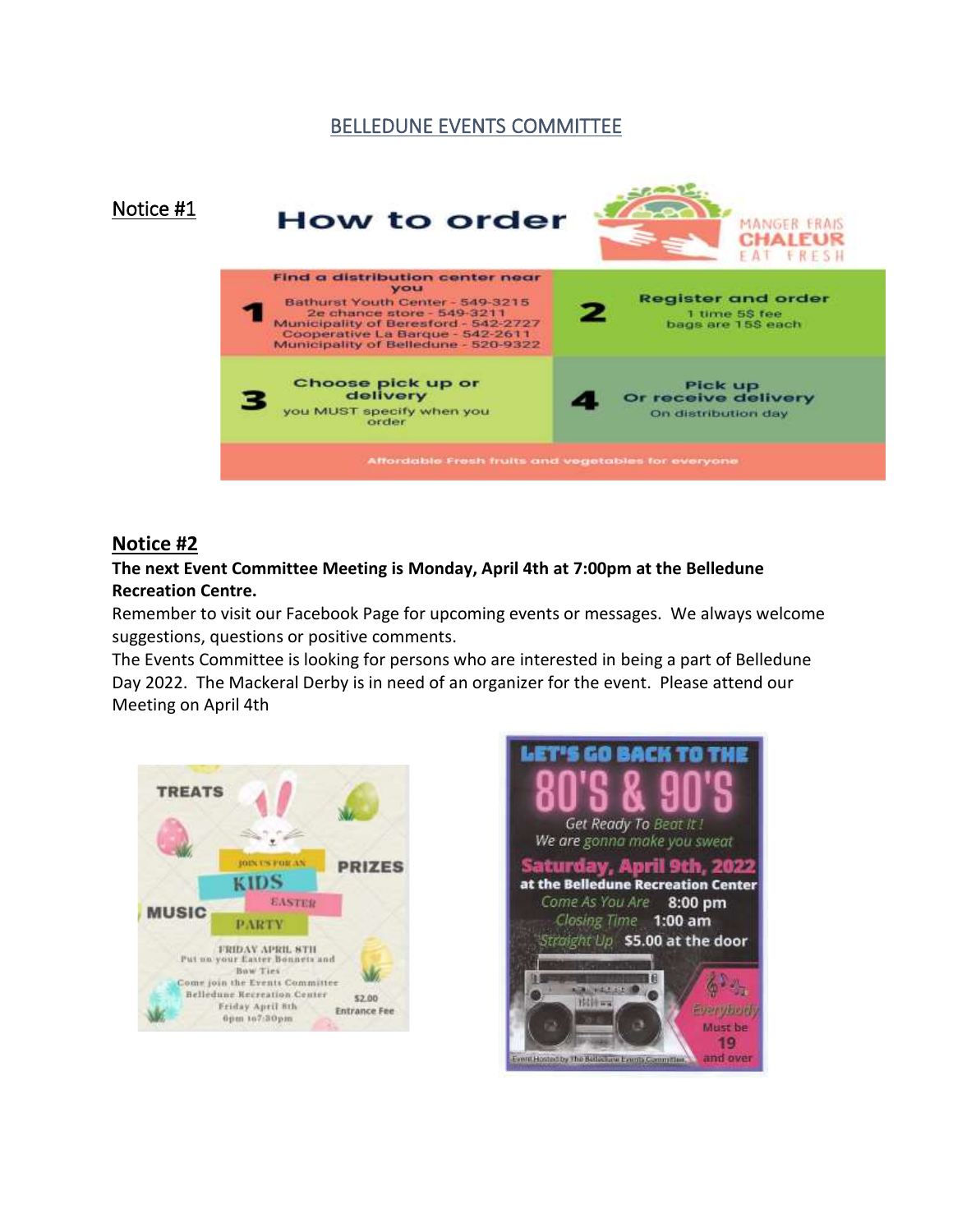#### BELLEDUNE EVENTS COMMITTEE



#### **Notice #2**

#### **The next Event Committee Meeting is Monday, April 4th at 7:00pm at the Belledune Recreation Centre.**

Remember to visit our Facebook Page for upcoming events or messages. We always welcome suggestions, questions or positive comments.

The Events Committee is looking for persons who are interested in being a part of Belledune Day 2022. The Mackeral Derby is in need of an organizer for the event. Please attend our Meeting on April 4th



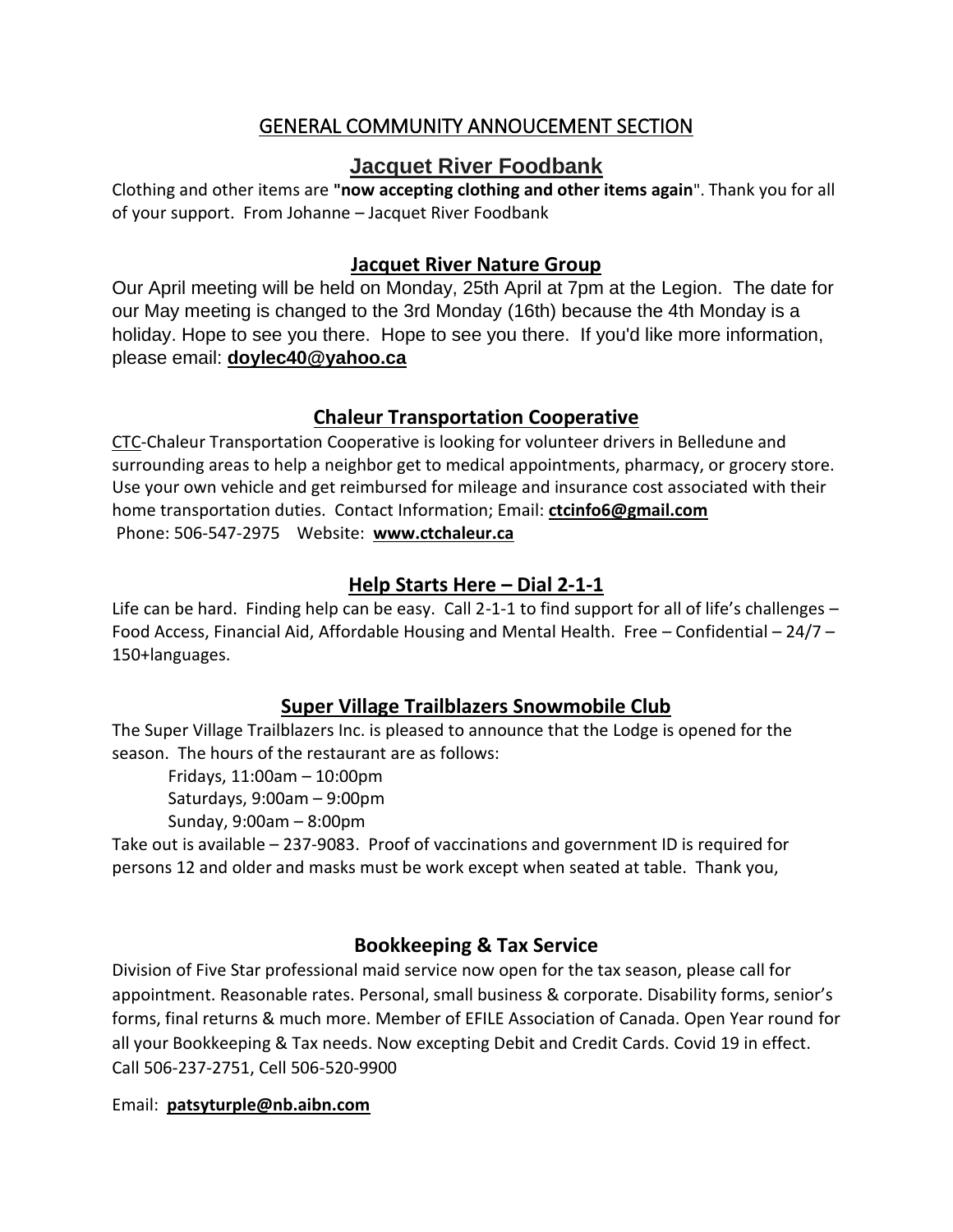## GENERAL COMMUNITY ANNOUCEMENT SECTION

## **Jacquet River Foodbank**

Clothing and other items are **"now accepting clothing and other items again**". Thank you for all of your support. From Johanne – Jacquet River Foodbank

#### **Jacquet River Nature Group**

Our April meeting will be held on Monday, 25th April at 7pm at the Legion. The date for our May meeting is changed to the 3rd Monday (16th) because the 4th Monday is a holiday. Hope to see you there. Hope to see you there. If you'd like more information, please email: **[doylec40@yahoo.ca](mailto:doylec40@yahoo.ca)**

## **Chaleur Transportation Cooperative**

CTC-Chaleur Transportation Cooperative is looking for volunteer drivers in Belledune and surrounding areas to help a neighbor get to medical appointments, pharmacy, or grocery store. Use your own vehicle and get reimbursed for mileage and insurance cost associated with their home transportation duties. Contact Information; Email: **[ctcinfo6@gmail.com](mailto:ctcinfo6@gmail.com)**  Phone: 506-547-2975 Website: **[www.ctchaleur.ca](http://www.ctchaleur.ca/)**

## **Help Starts Here – Dial 2-1-1**

Life can be hard. Finding help can be easy. Call 2-1-1 to find support for all of life's challenges – Food Access, Financial Aid, Affordable Housing and Mental Health. Free – Confidential – 24/7 – 150+languages.

## **Super Village Trailblazers Snowmobile Club**

The Super Village Trailblazers Inc. is pleased to announce that the Lodge is opened for the season. The hours of the restaurant are as follows:

Fridays, 11:00am – 10:00pm Saturdays, 9:00am – 9:00pm

Sunday, 9:00am – 8:00pm

Take out is available – 237-9083. Proof of vaccinations and government ID is required for persons 12 and older and masks must be work except when seated at table. Thank you,

## **Bookkeeping & Tax Service**

Division of Five Star professional maid service now open for the tax season, please call for appointment. Reasonable rates. Personal, small business & corporate. Disability forms, senior's forms, final returns & much more. Member of EFILE Association of Canada. Open Year round for all your Bookkeeping & Tax needs. Now excepting Debit and Credit Cards. Covid 19 in effect. Call 506-237-2751, Cell 506-520-9900

#### Email: **[patsyturple@nb.aibn.com](mailto:patsyturple@nb.aibn.com)**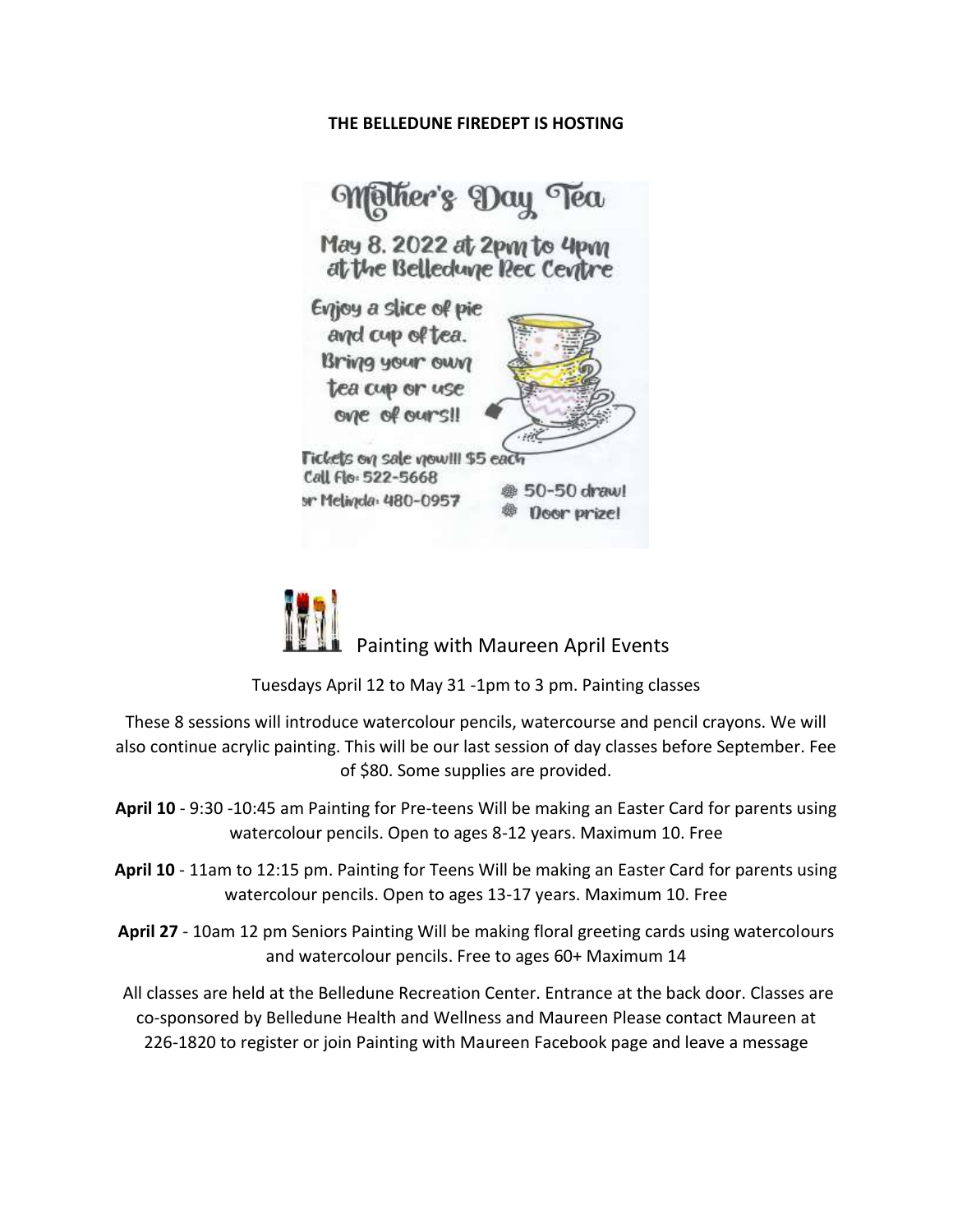#### **THE BELLEDUNE FIREDEPT IS HOSTING**



Painting with Maureen April Events

Tuesdays April 12 to May 31 -1pm to 3 pm. Painting classes

These 8 sessions will introduce watercolour pencils, watercourse and pencil crayons. We will also continue acrylic painting. This will be our last session of day classes before September. Fee of \$80. Some supplies are provided.

- **April 10** 9:30 -10:45 am Painting for Pre-teens Will be making an Easter Card for parents using watercolour pencils. Open to ages 8-12 years. Maximum 10. Free
- **April 10** 11am to 12:15 pm. Painting for Teens Will be making an Easter Card for parents using watercolour pencils. Open to ages 13-17 years. Maximum 10. Free
- **April 27** 10am 12 pm Seniors Painting Will be making floral greeting cards using watercolours and watercolour pencils. Free to ages 60+ Maximum 14

All classes are held at the Belledune Recreation Center. Entrance at the back door. Classes are co-sponsored by Belledune Health and Wellness and Maureen Please contact Maureen at 226-1820 to register or join Painting with Maureen Facebook page and leave a message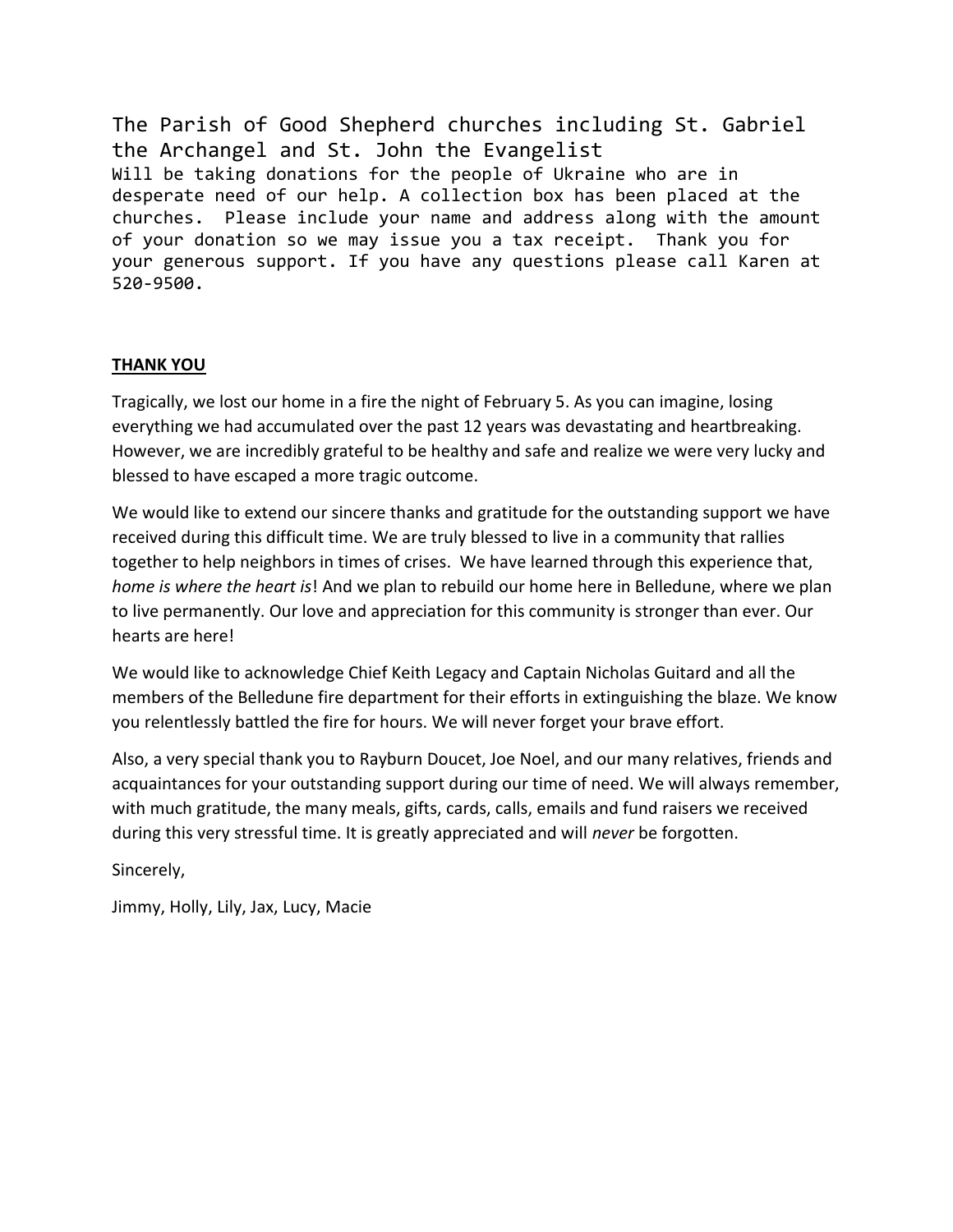The Parish of Good Shepherd churches including St. Gabriel the Archangel and St. John the Evangelist Will be taking donations for the people of Ukraine who are in desperate need of our help. A collection box has been placed at the churches. Please include your name and address along with the amount of your donation so we may issue you a tax receipt. Thank you for your generous support. If you have any questions please call Karen at 520-9500.

#### **THANK YOU**

Tragically, we lost our home in a fire the night of February 5. As you can imagine, losing everything we had accumulated over the past 12 years was devastating and heartbreaking. However, we are incredibly grateful to be healthy and safe and realize we were very lucky and blessed to have escaped a more tragic outcome.

We would like to extend our sincere thanks and gratitude for the outstanding support we have received during this difficult time. We are truly blessed to live in a community that rallies together to help neighbors in times of crises. We have learned through this experience that, *home is where the heart is*! And we plan to rebuild our home here in Belledune, where we plan to live permanently. Our love and appreciation for this community is stronger than ever. Our hearts are here!

We would like to acknowledge Chief Keith Legacy and Captain Nicholas Guitard and all the members of the Belledune fire department for their efforts in extinguishing the blaze. We know you relentlessly battled the fire for hours. We will never forget your brave effort.

Also, a very special thank you to Rayburn Doucet, Joe Noel, and our many relatives, friends and acquaintances for your outstanding support during our time of need. We will always remember, with much gratitude, the many meals, gifts, cards, calls, emails and fund raisers we received during this very stressful time. It is greatly appreciated and will *never* be forgotten.

Sincerely,

Jimmy, Holly, Lily, Jax, Lucy, Macie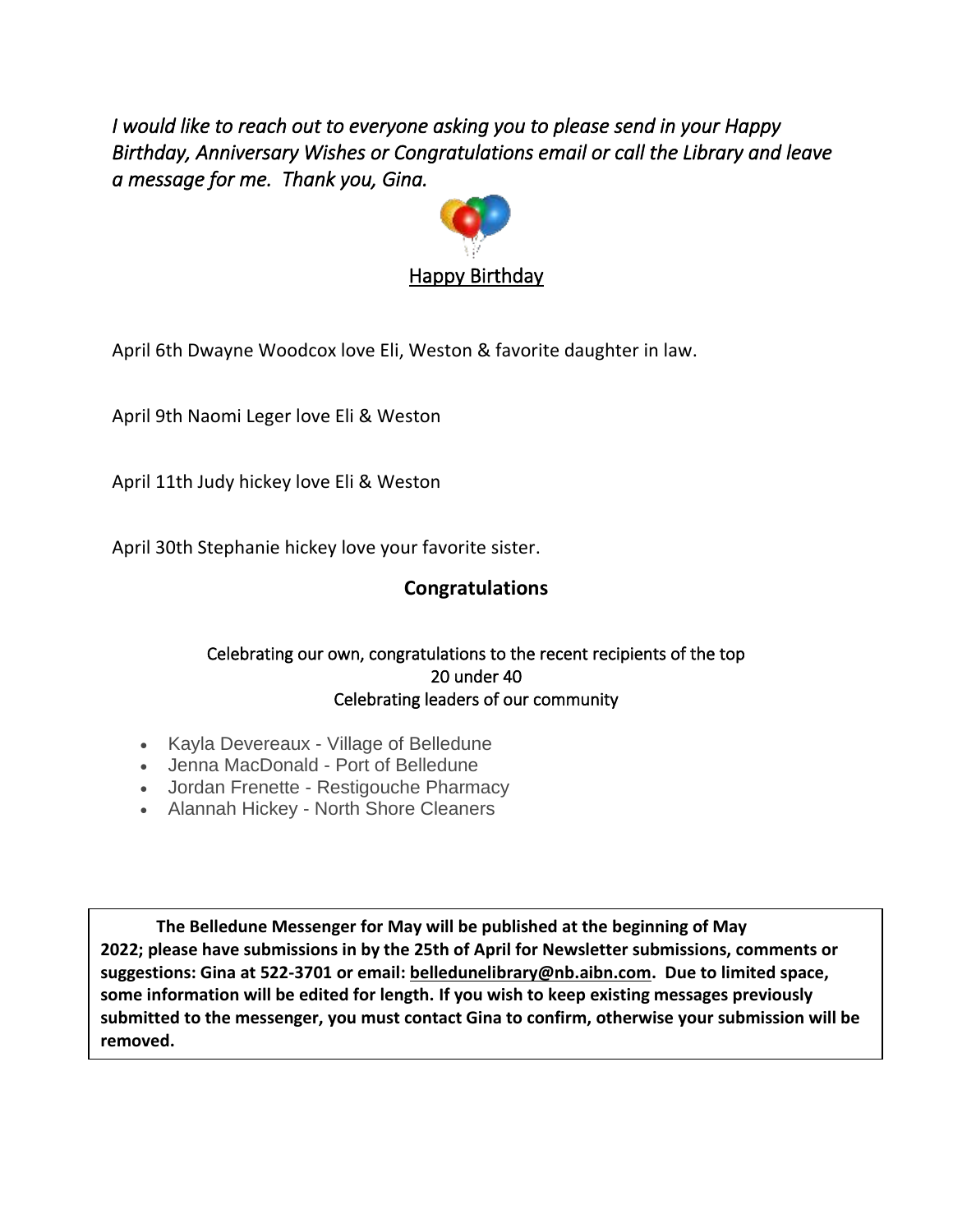*I would like to reach out to everyone asking you to please send in your Happy Birthday, Anniversary Wishes or Congratulations email or call the Library and leave a message for me. Thank you, Gina.*



April 6th Dwayne Woodcox love Eli, Weston & favorite daughter in law.

April 9th Naomi Leger love Eli & Weston

April 11th Judy hickey love Eli & Weston

April 30th Stephanie hickey love your favorite sister.

## **Congratulations**

#### Celebrating our own, congratulations to the recent recipients of the top 20 under 40 Celebrating leaders of our community

- Kayla Devereaux Village of Belledune
- Jenna MacDonald Port of Belledune
- Jordan Frenette Restigouche Pharmacy
- Alannah Hickey North Shore Cleaners

**The Belledune Messenger for May will be published at the beginning of May 2022; please have submissions in by the 25th of April for Newsletter submissions, comments or suggestions: Gina at 522-3701 or email: [belledunelibrary@nb.aibn.com.](mailto:belledunelibrary@nb.aibn.com) Due to limited space, some information will be edited for length. If you wish to keep existing messages previously submitted to the messenger, you must contact Gina to confirm, otherwise your submission will be removed.**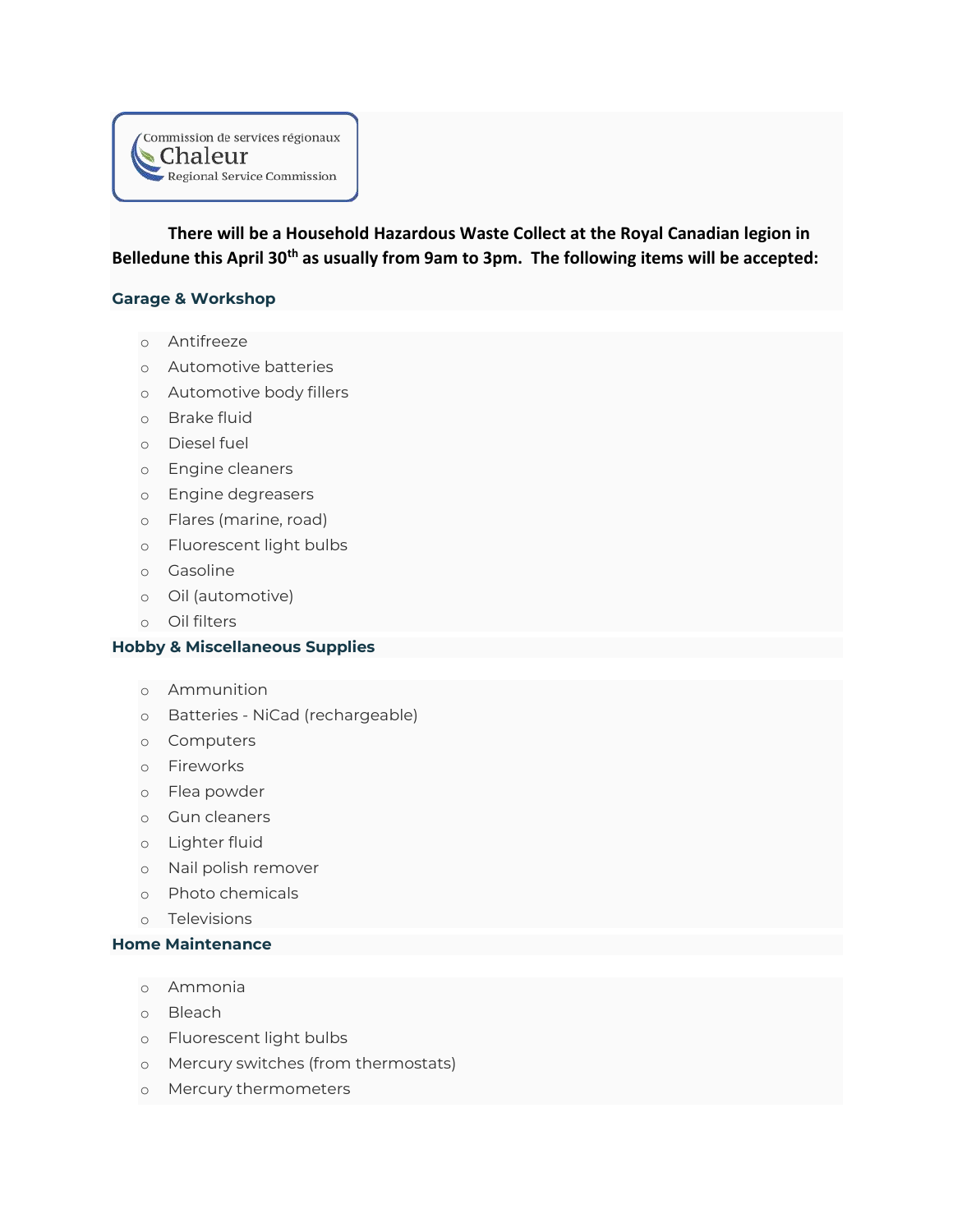

**There will be a Household Hazardous Waste Collect at the Royal Canadian legion in Belledune this April 30th as usually from 9am to 3pm. The following items will be accepted:**

#### **Garage & Workshop**

- o Antifreeze
- o Automotive batteries
- o Automotive body fillers
- o Brake fluid
- o Diesel fuel
- o Engine cleaners
- o Engine degreasers
- o Flares (marine, road)
- o Fluorescent light bulbs
- o Gasoline
- o Oil (automotive)
- o Oil filters

#### **Hobby & Miscellaneous Supplies**

- o Ammunition
- o Batteries NiCad (rechargeable)
- o Computers
- o Fireworks
- o Flea powder
- o Gun cleaners
- o Lighter fluid
- o Nail polish remover
- o Photo chemicals
- o Televisions

#### **Home Maintenance**

- o Ammonia
- o Bleach
- o Fluorescent light bulbs
- o Mercury switches (from thermostats)
- o Mercury thermometers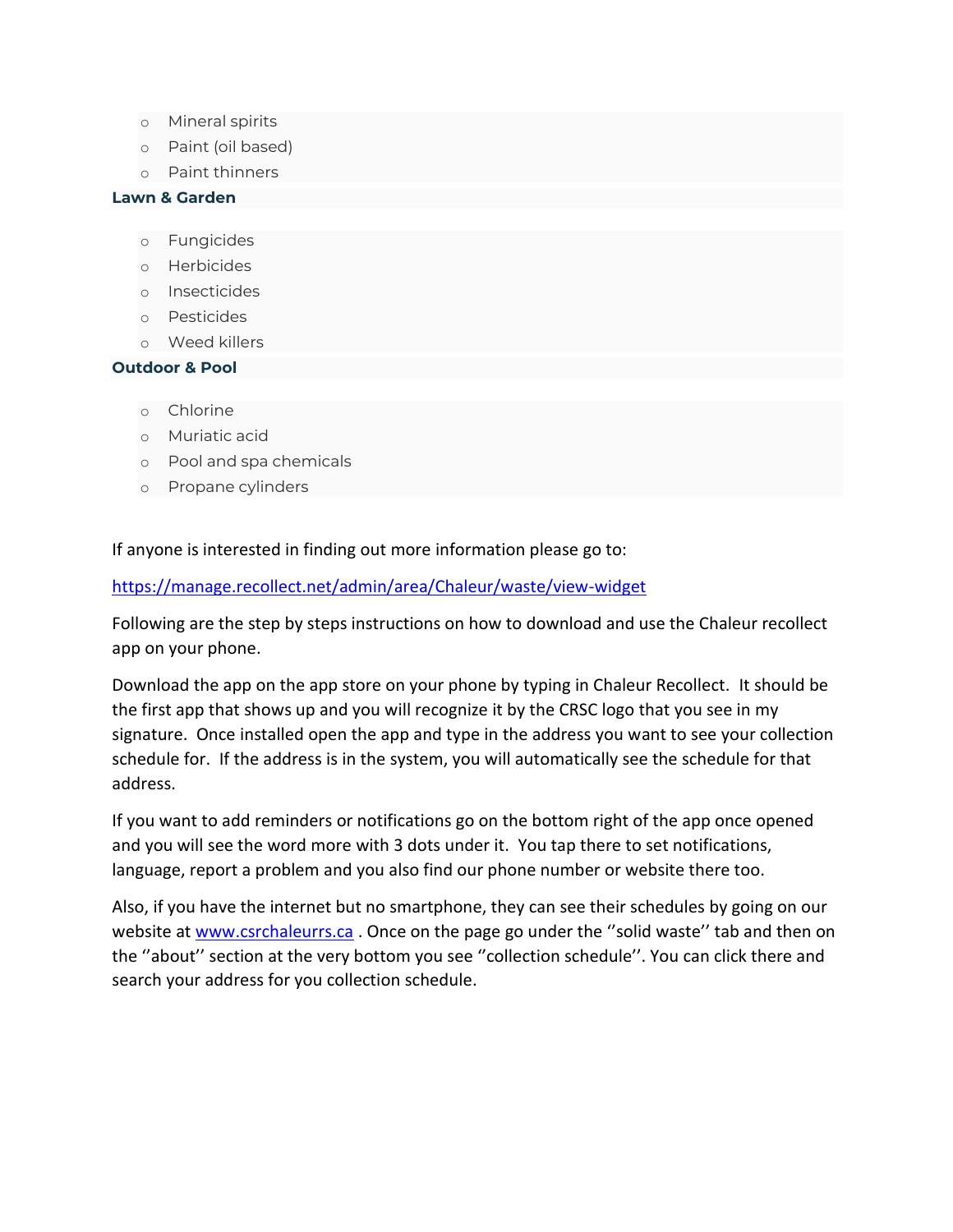- o Mineral spirits
- o Paint (oil based)
- o Paint thinners

#### **Lawn & Garden**

- o Fungicides
- o Herbicides
- o Insecticides
- o Pesticides
- o Weed killers

#### **Outdoor & Pool**

- o Chlorine
- o Muriatic acid
- o Pool and spa chemicals
- o Propane cylinders

If anyone is interested in finding out more information please go to:

#### <https://manage.recollect.net/admin/area/Chaleur/waste/view-widget>

Following are the step by steps instructions on how to download and use the Chaleur recollect app on your phone.

Download the app on the app store on your phone by typing in Chaleur Recollect. It should be the first app that shows up and you will recognize it by the CRSC logo that you see in my signature. Once installed open the app and type in the address you want to see your collection schedule for. If the address is in the system, you will automatically see the schedule for that address.

If you want to add reminders or notifications go on the bottom right of the app once opened and you will see the word more with 3 dots under it. You tap there to set notifications, language, report a problem and you also find our phone number or website there too.

Also, if you have the internet but no smartphone, they can see their schedules by going on our website at [www.csrchaleurrs.ca](http://www.csrchaleurrs.ca/) . Once on the page go under the ''solid waste'' tab and then on the ''about'' section at the very bottom you see ''collection schedule''. You can click there and search your address for you collection schedule.